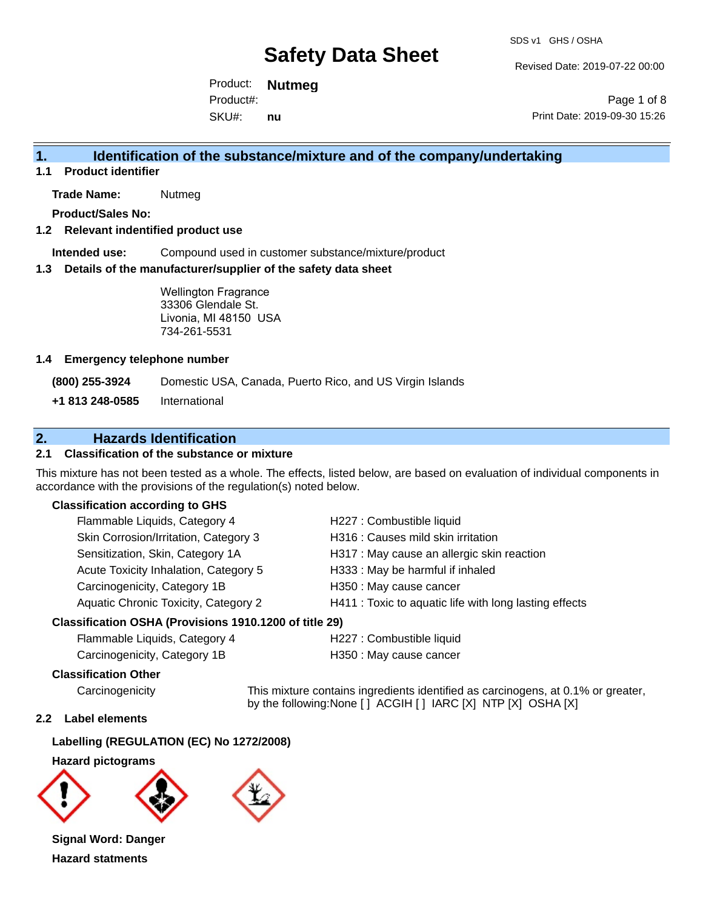Revised Date: 2019-07-22 00:00

Product: **Nutmeg** SKU#: Product#: **nu**

Page 1 of 8 Print Date: 2019-09-30 15:26

## **1. Identification of the substance/mixture and of the company/undertaking**

**1.1 Product identifier**

**Trade Name:** Nutmeg

**Product/Sales No:**

### **1.2 Relevant indentified product use**

**Intended use:** Compound used in customer substance/mixture/product

#### **1.3 Details of the manufacturer/supplier of the safety data sheet**

Wellington Fragrance 33306 Glendale St. Livonia, MI 48150 USA 734-261-5531

#### **1.4 Emergency telephone number**

**(800) 255-3924** Domestic USA, Canada, Puerto Rico, and US Virgin Islands

**+1 813 248-0585** International

## **2. Hazards Identification**

## **2.1 Classification of the substance or mixture**

This mixture has not been tested as a whole. The effects, listed below, are based on evaluation of individual components in accordance with the provisions of the regulation(s) noted below.

## **Classification according to GHS**

| Flammable Liquids, Category 4         | H227 : Combustible liquid                              |
|---------------------------------------|--------------------------------------------------------|
| Skin Corrosion/Irritation, Category 3 | H316 : Causes mild skin irritation                     |
| Sensitization, Skin, Category 1A      | H317 : May cause an allergic skin reaction             |
| Acute Toxicity Inhalation, Category 5 | H333: May be harmful if inhaled                        |
| Carcinogenicity, Category 1B          | H350 : May cause cancer                                |
| Aquatic Chronic Toxicity, Category 2  | H411 : Toxic to aquatic life with long lasting effects |
|                                       |                                                        |

### **Classification OSHA (Provisions 1910.1200 of title 29)**

| Flammable Liquids, Category 4 |  |
|-------------------------------|--|
| Carcinogenicity, Category 1B  |  |

H227 : Combustible liquid H350 : May cause cancer

### **Classification Other**

Carcinogenicity This mixture contains ingredients identified as carcinogens, at 0.1% or greater, by the following:None [ ] ACGIH [ ] IARC [X] NTP [X] OSHA [X]

## **2.2 Label elements**

## **Labelling (REGULATION (EC) No 1272/2008)**

#### **Hazard pictograms**





**Signal Word: Danger Hazard statments**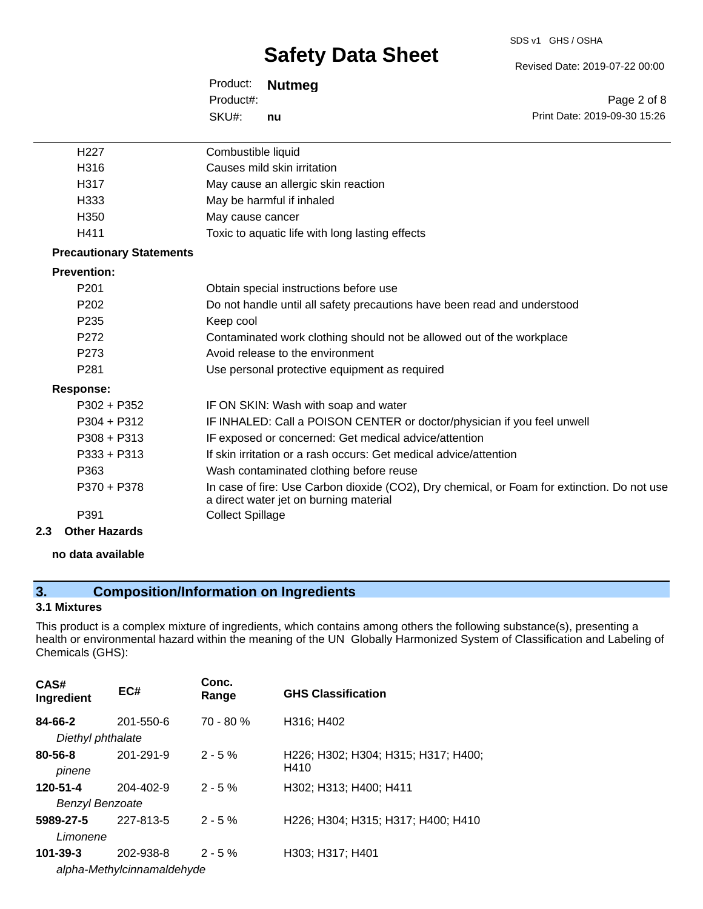#### SDS v1 GHS / OSHA

# **Safety Data Sheet**

Revised Date: 2019-07-22 00:00

Product: **Nutmeg** SKU#: Product#: **nu**

Page 2 of 8 Print Date: 2019-09-30 15:26

| H <sub>22</sub> 7               | Combustible liquid                                                                                                                    |
|---------------------------------|---------------------------------------------------------------------------------------------------------------------------------------|
| H316                            | Causes mild skin irritation                                                                                                           |
| H317                            | May cause an allergic skin reaction                                                                                                   |
| H333                            | May be harmful if inhaled                                                                                                             |
| H <sub>350</sub>                | May cause cancer                                                                                                                      |
| H411                            | Toxic to aquatic life with long lasting effects                                                                                       |
| <b>Precautionary Statements</b> |                                                                                                                                       |
| <b>Prevention:</b>              |                                                                                                                                       |
| P <sub>201</sub>                | Obtain special instructions before use                                                                                                |
| P <sub>202</sub>                | Do not handle until all safety precautions have been read and understood                                                              |
| P <sub>235</sub>                | Keep cool                                                                                                                             |
| P <sub>272</sub>                | Contaminated work clothing should not be allowed out of the workplace                                                                 |
| P <sub>273</sub>                | Avoid release to the environment                                                                                                      |
| P <sub>281</sub>                | Use personal protective equipment as required                                                                                         |
| <b>Response:</b>                |                                                                                                                                       |
| $P302 + P352$                   | IF ON SKIN: Wash with soap and water                                                                                                  |
| $P304 + P312$                   | IF INHALED: Call a POISON CENTER or doctor/physician if you feel unwell                                                               |
| $P308 + P313$                   | IF exposed or concerned: Get medical advice/attention                                                                                 |
| $P333 + P313$                   | If skin irritation or a rash occurs: Get medical advice/attention                                                                     |
| P363                            | Wash contaminated clothing before reuse                                                                                               |
| P370 + P378                     | In case of fire: Use Carbon dioxide (CO2), Dry chemical, or Foam for extinction. Do not use<br>a direct water jet on burning material |
| P391                            | <b>Collect Spillage</b>                                                                                                               |
| <b>Other Hazards</b><br>2.3     |                                                                                                                                       |
|                                 |                                                                                                                                       |

### **no data available**

## **3. Composition/Information on Ingredients**

## **3.1 Mixtures**

This product is a complex mixture of ingredients, which contains among others the following substance(s), presenting a health or environmental hazard within the meaning of the UN Globally Harmonized System of Classification and Labeling of Chemicals (GHS):

| CAS#<br>Ingredient           | EC#                        | Conc.<br>Range | <b>GHS Classification</b>                   |
|------------------------------|----------------------------|----------------|---------------------------------------------|
| 84-66-2<br>Diethyl phthalate | 201-550-6                  | 70 - 80 %      | H316; H402                                  |
| $80 - 56 - 8$<br>pinene      | 201-291-9                  | $2 - 5%$       | H226; H302; H304; H315; H317; H400;<br>H410 |
| 120-51-4                     | 204-402-9                  | $2 - 5%$       | H302; H313; H400; H411                      |
| <b>Benzyl Benzoate</b>       |                            |                |                                             |
| 5989-27-5<br>Limonene        | 227-813-5                  | $2 - 5%$       | H226; H304; H315; H317; H400; H410          |
| $101 - 39 - 3$               | 202-938-8                  | $2 - 5\%$      | H303; H317; H401                            |
|                              | alpha-Methylcinnamaldehyde |                |                                             |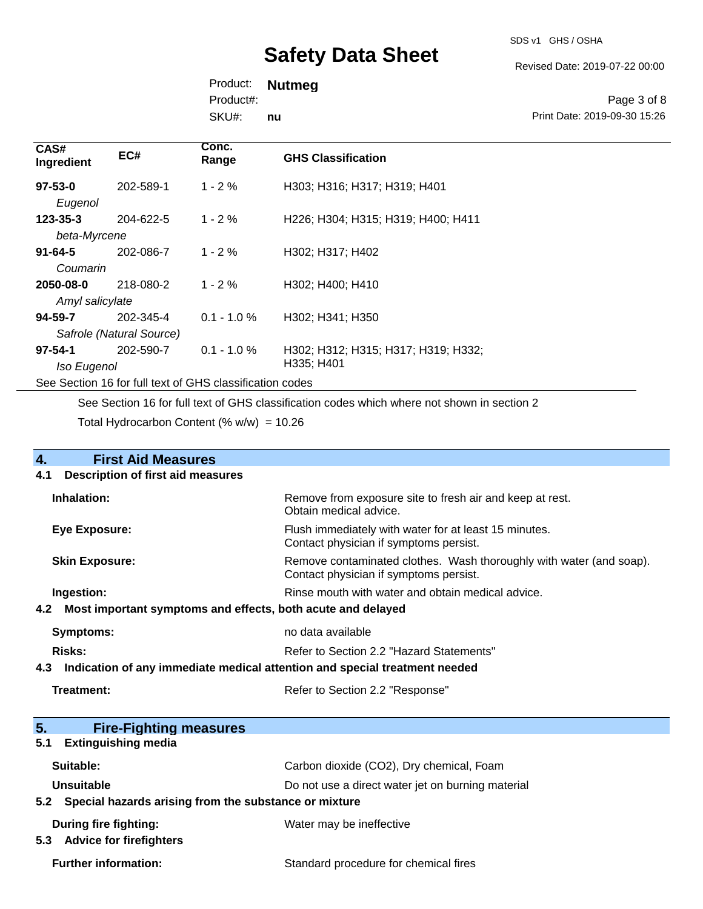SDS v1 GHS / OSHA

Revised Date: 2019-07-22 00:00

Product: **Nutmeg** SKU#: Product#: **nu**

Page 3 of 8 Print Date: 2019-09-30 15:26

| CAS#<br>Ingredient                                       | EC#       | Conc.<br>Range | <b>GHS Classification</b>           |
|----------------------------------------------------------|-----------|----------------|-------------------------------------|
| $97 - 53 - 0$                                            | 202-589-1 | $1 - 2 \%$     | H303; H316; H317; H319; H401        |
| Eugenol                                                  |           |                |                                     |
| $123 - 35 - 3$                                           | 204-622-5 | $1 - 2 \%$     | H226; H304; H315; H319; H400; H411  |
| beta-Myrcene                                             |           |                |                                     |
| $91 - 64 - 5$                                            | 202-086-7 | $1 - 2 \%$     | H302; H317; H402                    |
| Coumarin                                                 |           |                |                                     |
| 2050-08-0                                                | 218-080-2 | $1 - 2 \%$     | H302; H400; H410                    |
| Amyl salicylate                                          |           |                |                                     |
| 94-59-7                                                  | 202-345-4 | $0.1 - 1.0 %$  | H302; H341; H350                    |
| Safrole (Natural Source)                                 |           |                |                                     |
| $97 - 54 - 1$                                            | 202-590-7 | $0.1 - 1.0 \%$ | H302; H312; H315; H317; H319; H332; |
| Iso Eugenol                                              |           |                | H335; H401                          |
| See Section 16 for full text of GHS classification codes |           |                |                                     |

See Section 16 for full text of GHS classification codes which where not shown in section 2

Total Hydrocarbon Content (% w/w) = 10.26

| <b>First Aid Measures</b><br>4.                                                   |                                                                                                               |  |  |
|-----------------------------------------------------------------------------------|---------------------------------------------------------------------------------------------------------------|--|--|
| <b>Description of first aid measures</b><br>4.1                                   |                                                                                                               |  |  |
| Inhalation:                                                                       | Remove from exposure site to fresh air and keep at rest.<br>Obtain medical advice.                            |  |  |
| <b>Eye Exposure:</b>                                                              | Flush immediately with water for at least 15 minutes.<br>Contact physician if symptoms persist.               |  |  |
| <b>Skin Exposure:</b>                                                             | Remove contaminated clothes. Wash thoroughly with water (and soap).<br>Contact physician if symptoms persist. |  |  |
| Ingestion:                                                                        | Rinse mouth with water and obtain medical advice.                                                             |  |  |
| 4.2                                                                               | Most important symptoms and effects, both acute and delayed                                                   |  |  |
| <b>Symptoms:</b>                                                                  | no data available                                                                                             |  |  |
| Risks:                                                                            | Refer to Section 2.2 "Hazard Statements"                                                                      |  |  |
| Indication of any immediate medical attention and special treatment needed<br>4.3 |                                                                                                               |  |  |
| Treatment:                                                                        | Refer to Section 2.2 "Response"                                                                               |  |  |
|                                                                                   |                                                                                                               |  |  |
| 5.<br><b>Fire-Fighting measures</b>                                               |                                                                                                               |  |  |
| <b>Extinguishing media</b><br>5.1                                                 |                                                                                                               |  |  |
| Suitable:                                                                         | Carbon dioxide (CO2), Dry chemical, Foam                                                                      |  |  |
| Unsuitable                                                                        | Do not use a direct water jet on burning material                                                             |  |  |
| Special hazards arising from the substance or mixture<br>5.2                      |                                                                                                               |  |  |
| <b>During fire fighting:</b>                                                      | Water may be ineffective                                                                                      |  |  |

**5.3 Advice for firefighters**

Further information: **Further information:** Standard procedure for chemical fires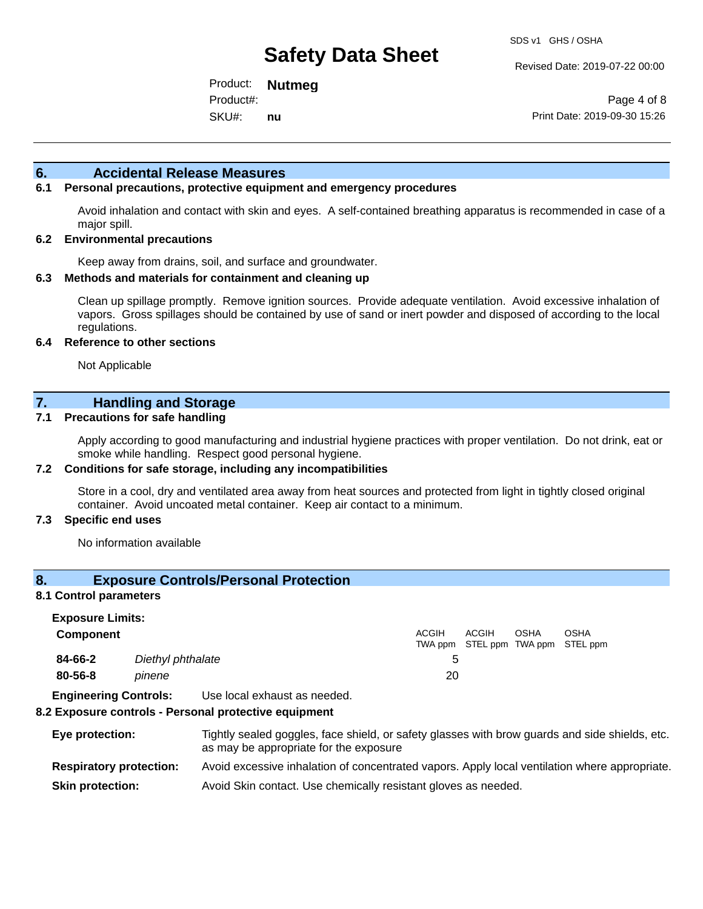Revised Date: 2019-07-22 00:00

Product: **Nutmeg** SKU#: Product#: **nu**

Page 4 of 8 Print Date: 2019-09-30 15:26

## **6. Accidental Release Measures**

## **6.1 Personal precautions, protective equipment and emergency procedures**

Avoid inhalation and contact with skin and eyes. A self-contained breathing apparatus is recommended in case of a major spill.

### **6.2 Environmental precautions**

Keep away from drains, soil, and surface and groundwater.

### **6.3 Methods and materials for containment and cleaning up**

Clean up spillage promptly. Remove ignition sources. Provide adequate ventilation. Avoid excessive inhalation of vapors. Gross spillages should be contained by use of sand or inert powder and disposed of according to the local regulations.

#### **6.4 Reference to other sections**

Not Applicable

## **7. Handling and Storage**

## **7.1 Precautions for safe handling**

Apply according to good manufacturing and industrial hygiene practices with proper ventilation. Do not drink, eat or smoke while handling. Respect good personal hygiene.

### **7.2 Conditions for safe storage, including any incompatibilities**

Store in a cool, dry and ventilated area away from heat sources and protected from light in tightly closed original container. Avoid uncoated metal container. Keep air contact to a minimum.

### **7.3 Specific end uses**

No information available

### **8. Exposure Controls/Personal Protection**

#### **8.1 Control parameters**

| <b>Exposure Limits:</b> |                   | <b>ACGIH</b> | ACGIH                             | <b>OSHA</b> | <b>OSHA</b> |
|-------------------------|-------------------|--------------|-----------------------------------|-------------|-------------|
| <b>Component</b>        |                   |              | TWA ppm STEL ppm TWA ppm STEL ppm |             |             |
| 84-66-2                 | Diethyl phthalate | b            |                                   |             |             |
| 80-56-8                 | pinene            | 20           |                                   |             |             |

**Engineering Controls:** Use local exhaust as needed.

#### **8.2 Exposure controls - Personal protective equipment**

**Eye protection:** Tightly sealed goggles, face shield, or safety glasses with brow guards and side shields, etc. as may be appropriate for the exposure **Respiratory protection:** Avoid excessive inhalation of concentrated vapors. Apply local ventilation where appropriate. **Skin protection:** Avoid Skin contact. Use chemically resistant gloves as needed.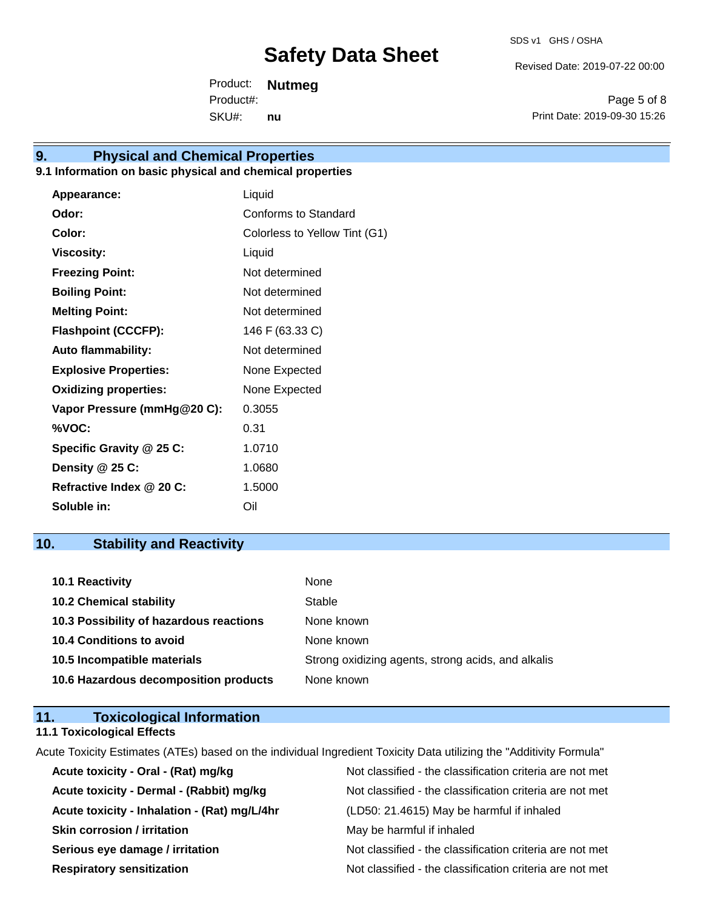Revised Date: 2019-07-22 00:00

Product: **Nutmeg** SKU#: Product#: **nu**

Page 5 of 8 Print Date: 2019-09-30 15:26

## **9. Physical and Chemical Properties**

## **9.1 Information on basic physical and chemical properties**

| Liquid                        |
|-------------------------------|
| Conforms to Standard          |
| Colorless to Yellow Tint (G1) |
| Liquid                        |
| Not determined                |
| Not determined                |
| Not determined                |
| 146 F (63.33 C)               |
| Not determined                |
| None Expected                 |
| None Expected                 |
| 0.3055                        |
| 0.31                          |
| 1.0710                        |
| 1.0680                        |
| 1.5000                        |
| Oil                           |
|                               |

## **10. Stability and Reactivity**

| 10.1 Reactivity                         | None                                               |
|-----------------------------------------|----------------------------------------------------|
| <b>10.2 Chemical stability</b>          | Stable                                             |
| 10.3 Possibility of hazardous reactions | None known                                         |
| <b>10.4 Conditions to avoid</b>         | None known                                         |
| 10.5 Incompatible materials             | Strong oxidizing agents, strong acids, and alkalis |
| 10.6 Hazardous decomposition products   | None known                                         |

## **11. Toxicological Information**

## **11.1 Toxicological Effects**

Acute Toxicity Estimates (ATEs) based on the individual Ingredient Toxicity Data utilizing the "Additivity Formula"

| Acute toxicity - Oral - (Rat) mg/kg          | Not classified - the classification criteria are not met |
|----------------------------------------------|----------------------------------------------------------|
| Acute toxicity - Dermal - (Rabbit) mg/kg     | Not classified - the classification criteria are not met |
| Acute toxicity - Inhalation - (Rat) mg/L/4hr | (LD50: 21.4615) May be harmful if inhaled                |
| <b>Skin corrosion / irritation</b>           | May be harmful if inhaled                                |
| Serious eye damage / irritation              | Not classified - the classification criteria are not met |
| <b>Respiratory sensitization</b>             | Not classified - the classification criteria are not met |
|                                              |                                                          |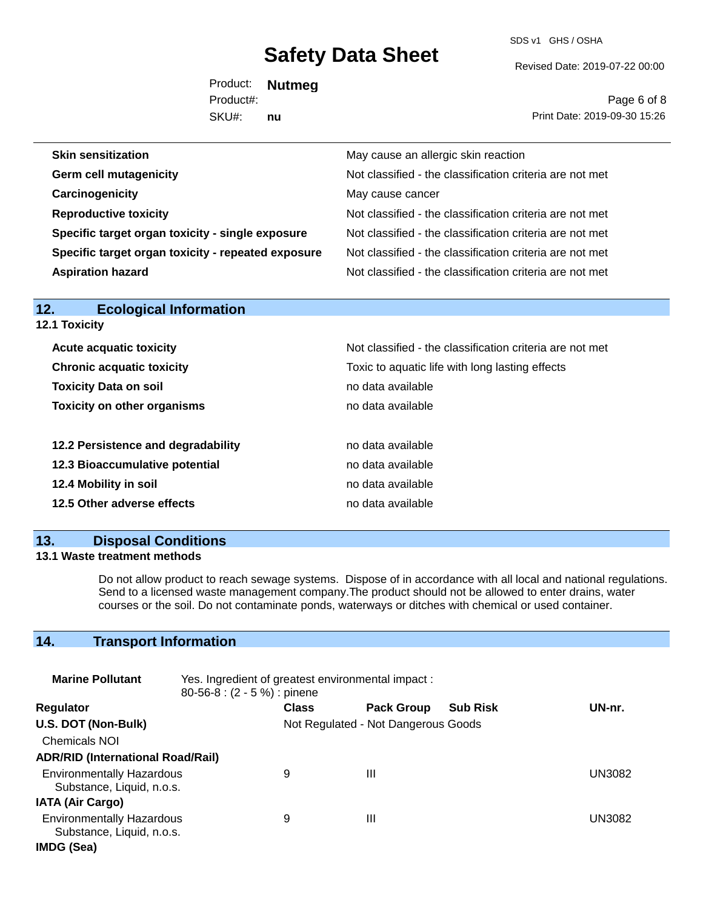SDS v1 GHS / OSHA

Revised Date: 2019-07-22 00:00

Product: **Nutmeg** SKU#: Product#: **nu**

Page 6 of 8 Print Date: 2019-09-30 15:26

| <b>Skin sensitization</b>                          | May cause an allergic skin reaction                      |
|----------------------------------------------------|----------------------------------------------------------|
| <b>Germ cell mutagenicity</b>                      | Not classified - the classification criteria are not met |
| Carcinogenicity                                    | May cause cancer                                         |
| <b>Reproductive toxicity</b>                       | Not classified - the classification criteria are not met |
| Specific target organ toxicity - single exposure   | Not classified - the classification criteria are not met |
| Specific target organ toxicity - repeated exposure | Not classified - the classification criteria are not met |
| <b>Aspiration hazard</b>                           | Not classified - the classification criteria are not met |

| 12.1 Toxicity                                                                       |                                                          |
|-------------------------------------------------------------------------------------|----------------------------------------------------------|
| <b>Acute acquatic toxicity</b>                                                      | Not classified - the classification criteria are not met |
| <b>Chronic acquatic toxicity</b><br>Toxic to aquatic life with long lasting effects |                                                          |
| <b>Toxicity Data on soil</b><br>no data available                                   |                                                          |
| <b>Toxicity on other organisms</b>                                                  | no data available                                        |
| 12.2 Persistence and degradability                                                  | no data available                                        |
| 12.3 Bioaccumulative potential                                                      | no data available                                        |
| 12.4 Mobility in soil                                                               | no data available                                        |
| 12.5 Other adverse effects                                                          | no data available                                        |

## **13. Disposal Conditions**

**12. Ecological Information** 

## **13.1 Waste treatment methods**

Do not allow product to reach sewage systems. Dispose of in accordance with all local and national regulations. Send to a licensed waste management company.The product should not be allowed to enter drains, water courses or the soil. Do not contaminate ponds, waterways or ditches with chemical or used container.

## **14. Transport Information**

| <b>Marine Pollutant</b>                                       | Yes. Ingredient of greatest environmental impact:<br>$80-56-8$ : $(2 - 5\%)$ : pinene |              |                                     |                 |               |
|---------------------------------------------------------------|---------------------------------------------------------------------------------------|--------------|-------------------------------------|-----------------|---------------|
| <b>Regulator</b>                                              |                                                                                       | <b>Class</b> | <b>Pack Group</b>                   | <b>Sub Risk</b> | UN-nr.        |
| U.S. DOT (Non-Bulk)                                           |                                                                                       |              | Not Regulated - Not Dangerous Goods |                 |               |
| <b>Chemicals NOI</b>                                          |                                                                                       |              |                                     |                 |               |
| <b>ADR/RID (International Road/Rail)</b>                      |                                                                                       |              |                                     |                 |               |
| <b>Environmentally Hazardous</b><br>Substance, Liquid, n.o.s. |                                                                                       | 9            | Ш                                   |                 | <b>UN3082</b> |
| <b>IATA (Air Cargo)</b>                                       |                                                                                       |              |                                     |                 |               |
| <b>Environmentally Hazardous</b><br>Substance, Liquid, n.o.s. |                                                                                       | 9            | Ш                                   |                 | UN3082        |
| IMDG (Sea)                                                    |                                                                                       |              |                                     |                 |               |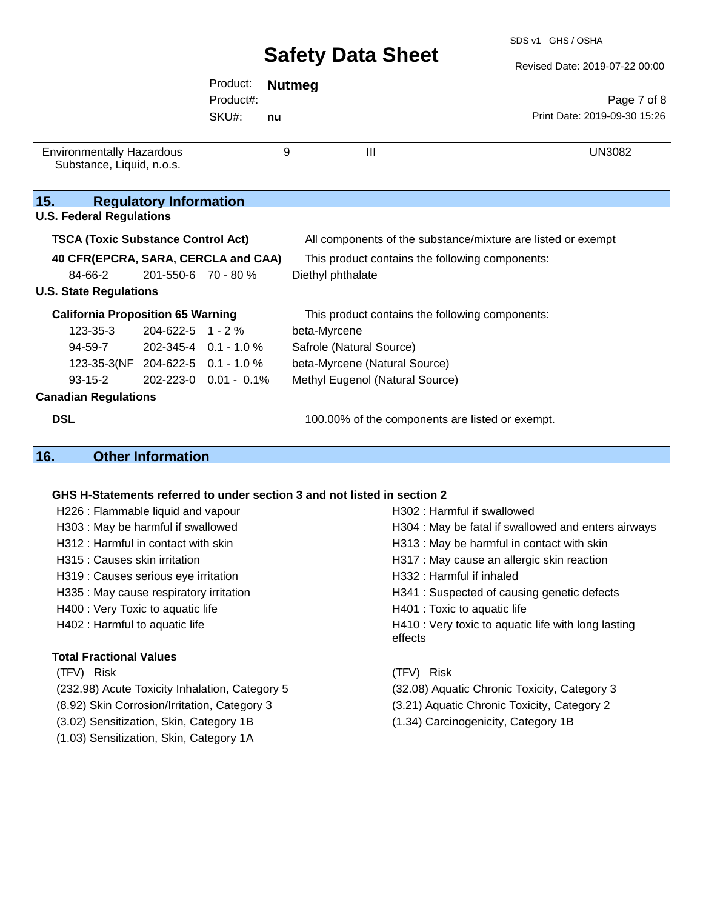Revised Date: 2019-07-22 00:00

|                                                               |                               | Product:              | <b>Nutmeg</b> |                                                              |
|---------------------------------------------------------------|-------------------------------|-----------------------|---------------|--------------------------------------------------------------|
|                                                               |                               | Product#:             |               | Page 7 of 8                                                  |
|                                                               |                               | SKU#:                 | nu            | Print Date: 2019-09-30 15:26                                 |
| <b>Environmentally Hazardous</b><br>Substance, Liquid, n.o.s. |                               |                       | 9             | $\mathbf{III}$<br><b>UN3082</b>                              |
| 15.<br><b>U.S. Federal Regulations</b>                        | <b>Regulatory Information</b> |                       |               |                                                              |
| <b>TSCA (Toxic Substance Control Act)</b>                     |                               |                       |               | All components of the substance/mixture are listed or exempt |
| 40 CFR(EPCRA, SARA, CERCLA and CAA)                           |                               |                       |               | This product contains the following components:              |
| 84-66-2                                                       | 201-550-6 70 - 80 %           |                       |               | Diethyl phthalate                                            |
| <b>U.S. State Regulations</b>                                 |                               |                       |               |                                                              |
| <b>California Proposition 65 Warning</b>                      |                               |                       |               | This product contains the following components:              |
| $123 - 35 - 3$                                                | $204 - 622 - 5$ 1 - 2 %       |                       |               | beta-Myrcene                                                 |
| 94-59-7                                                       | $202 - 345 - 4$ 0.1 - 1.0 %   |                       |               | Safrole (Natural Source)                                     |
| 123-35-3(NF 204-622-5 0.1 - 1.0 %                             |                               |                       |               | beta-Myrcene (Natural Source)                                |
| $93 - 15 - 2$                                                 |                               | 202-223-0 0.01 - 0.1% |               | Methyl Eugenol (Natural Source)                              |
| <b>Canadian Regulations</b>                                   |                               |                       |               |                                                              |
| <b>DSL</b>                                                    |                               |                       |               | 100.00% of the components are listed or exempt.              |

## **16. Other Information**

## **GHS H-Statements referred to under section 3 and not listed in section 2**

| H226 : Flammable liquid and vapour             | H302 : Harmful if swallowed                                    |  |  |
|------------------------------------------------|----------------------------------------------------------------|--|--|
| H303: May be harmful if swallowed              | H304 : May be fatal if swallowed and enters airways            |  |  |
| H312 : Harmful in contact with skin            | H313 : May be harmful in contact with skin                     |  |  |
| H315 : Causes skin irritation                  | H317 : May cause an allergic skin reaction                     |  |  |
| H319 : Causes serious eye irritation           | H332 : Harmful if inhaled                                      |  |  |
| H335 : May cause respiratory irritation        | H341 : Suspected of causing genetic defects                    |  |  |
| H400 : Very Toxic to aquatic life              | H401 : Toxic to aquatic life                                   |  |  |
| H402 : Harmful to aquatic life                 | H410 : Very toxic to aquatic life with long lasting<br>effects |  |  |
| <b>Total Fractional Values</b>                 |                                                                |  |  |
| (TFV) Risk                                     | (TFV) Risk                                                     |  |  |
| (232.98) Acute Toxicity Inhalation, Category 5 | (32.08) Aquatic Chronic Toxicity, Category 3                   |  |  |
| (8.92) Skin Corrosion/Irritation, Category 3   | (3.21) Aquatic Chronic Toxicity, Category 2                    |  |  |
| (3.02) Sensitization, Skin, Category 1B        | (1.34) Carcinogenicity, Category 1B                            |  |  |

(1.03) Sensitization, Skin, Category 1A